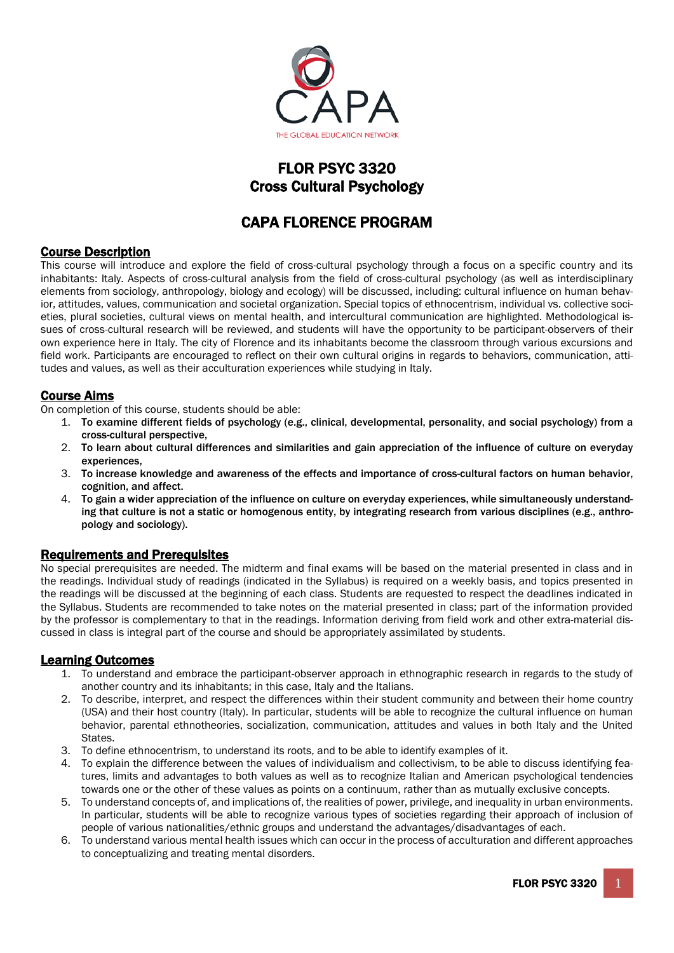

# FLOR PSYC 3320 Cross Cultural Psychology

# CAPA FLORENCE PROGRAM

## Course Description

This course will introduce and explore the field of cross-cultural psychology through a focus on a specific country and its inhabitants: Italy. Aspects of cross-cultural analysis from the field of cross-cultural psychology (as well as interdisciplinary elements from sociology, anthropology, biology and ecology) will be discussed, including: cultural influence on human behavior, attitudes, values, communication and societal organization. Special topics of ethnocentrism, individual vs. collective societies, plural societies, cultural views on mental health, and intercultural communication are highlighted. Methodological issues of cross-cultural research will be reviewed, and students will have the opportunity to be participant-observers of their own experience here in Italy. The city of Florence and its inhabitants become the classroom through various excursions and field work. Participants are encouraged to reflect on their own cultural origins in regards to behaviors, communication, attitudes and values, as well as their acculturation experiences while studying in Italy.

## Course Aims

On completion of this course, students should be able:

- 1. To examine different fields of psychology (e.g., clinical, developmental, personality, and social psychology) from a cross-cultural perspective,
- 2. To learn about cultural differences and similarities and gain appreciation of the influence of culture on everyday experiences,
- 3. To increase knowledge and awareness of the effects and importance of cross-cultural factors on human behavior, cognition, and affect.
- 4. To gain a wider appreciation of the influence on culture on everyday experiences, while simultaneously understanding that culture is not a static or homogenous entity, by integrating research from various disciplines (e.g., anthropology and sociology).

## Requirements and Prerequisites

No special prerequisites are needed. The midterm and final exams will be based on the material presented in class and in the readings. Individual study of readings (indicated in the Syllabus) is required on a weekly basis, and topics presented in the readings will be discussed at the beginning of each class. Students are requested to respect the deadlines indicated in the Syllabus. Students are recommended to take notes on the material presented in class; part of the information provided by the professor is complementary to that in the readings. Information deriving from field work and other extra-material discussed in class is integral part of the course and should be appropriately assimilated by students.

## Learning Outcomes

- 1. To understand and embrace the participant-observer approach in ethnographic research in regards to the study of another country and its inhabitants; in this case, Italy and the Italians.
- 2. To describe, interpret, and respect the differences within their student community and between their home country (USA) and their host country (Italy). In particular, students will be able to recognize the cultural influence on human behavior, parental ethnotheories, socialization, communication, attitudes and values in both Italy and the United States.
- 3. To define ethnocentrism, to understand its roots, and to be able to identify examples of it.
- 4. To explain the difference between the values of individualism and collectivism, to be able to discuss identifying features, limits and advantages to both values as well as to recognize Italian and American psychological tendencies towards one or the other of these values as points on a continuum, rather than as mutually exclusive concepts.
- 5. To understand concepts of, and implications of, the realities of power, privilege, and inequality in urban environments. In particular, students will be able to recognize various types of societies regarding their approach of inclusion of people of various nationalities/ethnic groups and understand the advantages/disadvantages of each.
- 6. To understand various mental health issues which can occur in the process of acculturation and different approaches to conceptualizing and treating mental disorders.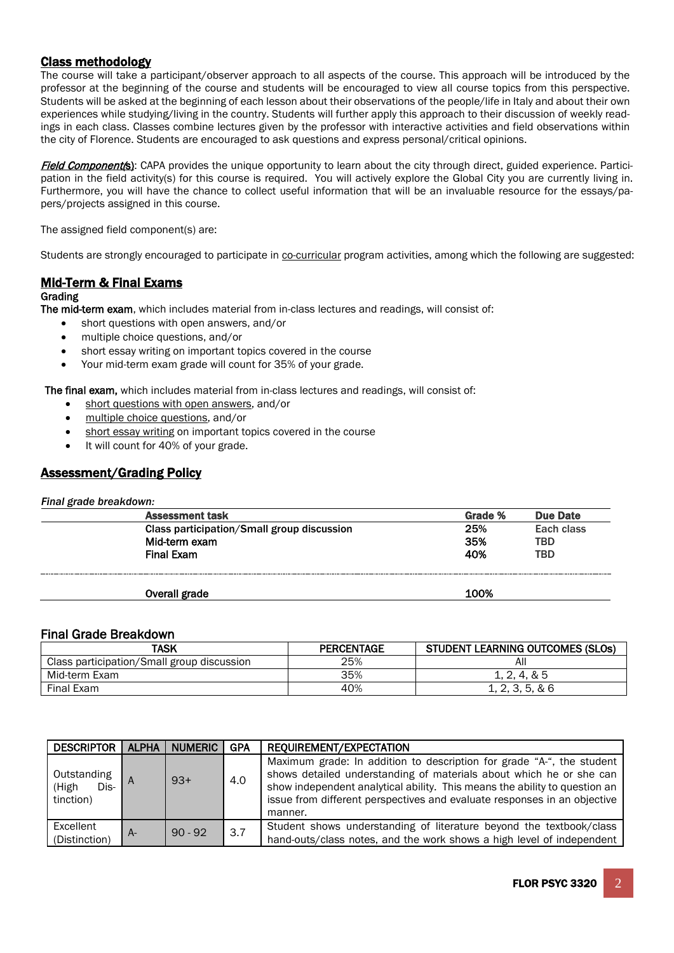## Class methodology

The course will take a participant/observer approach to all aspects of the course. This approach will be introduced by the professor at the beginning of the course and students will be encouraged to view all course topics from this perspective. Students will be asked at the beginning of each lesson about their observations of the people/life in Italy and about their own experiences while studying/living in the country. Students will further apply this approach to their discussion of weekly readings in each class. Classes combine lectures given by the professor with interactive activities and field observations within the city of Florence. Students are encouraged to ask questions and express personal/critical opinions.

Field Component(s): CAPA provides the unique opportunity to learn about the city through direct, guided experience. Participation in the field activity(s) for this course is required. You will actively explore the Global City you are currently living in. Furthermore, you will have the chance to collect useful information that will be an invaluable resource for the essays/papers/projects assigned in this course.

The assigned field component(s) are:

Students are strongly encouraged to participate in co-curricular program activities, among which the following are suggested:

## Mid-Term & Final Exams

### **Grading**

The mid-term exam, which includes material from in-class lectures and readings, will consist of:

- short questions with open answers, and/or
- multiple choice questions, and/or
- short essay writing on important topics covered in the course
- Your mid-term exam grade will count for 35% of your grade.

The final exam, which includes material from in-class lectures and readings, will consist of:

- short questions with open answers, and/or
- multiple choice questions, and/or
- short essay writing on important topics covered in the course
- It will count for 40% of your grade.

## Assessment/Grading Policy

*Final grade breakdown:*

| . . |                                            |         |            |
|-----|--------------------------------------------|---------|------------|
|     | <b>Assessment task</b>                     | Grade % | Due Date   |
|     | Class participation/Small group discussion | 25%     | Each class |
|     | Mid-term exam                              | 35%     | <b>TBD</b> |
|     | <b>Final Exam</b>                          | 40%     | <b>TBD</b> |
|     |                                            |         |            |
|     | Overall grade                              | 100%    |            |

## Final Grade Breakdown

| TASK                                       | <b>PERCENTAGE</b> | <b>STUDENT LEARNING OUTCOMES (SLOS)</b> |
|--------------------------------------------|-------------------|-----------------------------------------|
| Class participation/Small group discussion | 25%               | All                                     |
| Mid-term Exam                              | 35%               | 1, 2, 4, & 5                            |
| Final Exam                                 | 40%               | 1, 2, 3, 5, 86                          |

| <b>DESCRIPTOR</b>                         | <b>ALPHA</b> | <b>NUMERIC</b> | <b>GPA</b> | REQUIREMENT/EXPECTATION                                                                                                                                                                                                                                                                                           |
|-------------------------------------------|--------------|----------------|------------|-------------------------------------------------------------------------------------------------------------------------------------------------------------------------------------------------------------------------------------------------------------------------------------------------------------------|
| Outstanding<br>Dis-<br>(High<br>tinction) |              | $9.3+$         | 4.0        | Maximum grade: In addition to description for grade "A-", the student<br>shows detailed understanding of materials about which he or she can<br>show independent analytical ability. This means the ability to question an<br>issue from different perspectives and evaluate responses in an objective<br>manner. |
| Excellent<br>(Distinction)                | A-           | $90 - 92$      | 3.7        | Student shows understanding of literature beyond the textbook/class<br>hand-outs/class notes, and the work shows a high level of independent                                                                                                                                                                      |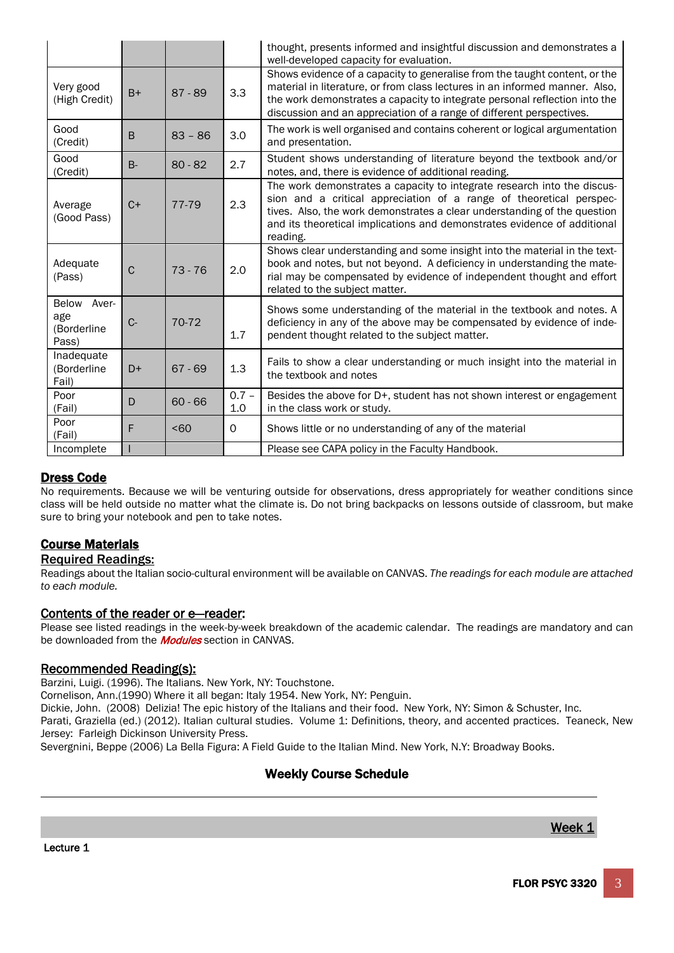|                                               |             |                  |                | thought, presents informed and insightful discussion and demonstrates a<br>well-developed capacity for evaluation.                                                                                                                                                                                                 |
|-----------------------------------------------|-------------|------------------|----------------|--------------------------------------------------------------------------------------------------------------------------------------------------------------------------------------------------------------------------------------------------------------------------------------------------------------------|
| Very good<br>(High Credit)                    | $B+$        | $87 - 89$        | 3.3            | Shows evidence of a capacity to generalise from the taught content, or the<br>material in literature, or from class lectures in an informed manner. Also,<br>the work demonstrates a capacity to integrate personal reflection into the<br>discussion and an appreciation of a range of different perspectives.    |
| Good<br>(Credit)                              | B           | $83 - 86$        | 3.0            | The work is well organised and contains coherent or logical argumentation<br>and presentation.                                                                                                                                                                                                                     |
| Good<br>(Credit)                              | $B -$       | $80 - 82$        | 2.7            | Student shows understanding of literature beyond the textbook and/or<br>notes, and, there is evidence of additional reading.                                                                                                                                                                                       |
| Average<br>(Good Pass)                        | $C+$        | 77-79            | 2.3            | The work demonstrates a capacity to integrate research into the discus-<br>sion and a critical appreciation of a range of theoretical perspec-<br>tives. Also, the work demonstrates a clear understanding of the question<br>and its theoretical implications and demonstrates evidence of additional<br>reading. |
| Adequate<br>(Pass)                            | $\mathbf C$ | $73 - 76$        | 2.0            | Shows clear understanding and some insight into the material in the text-<br>book and notes, but not beyond. A deficiency in understanding the mate-<br>rial may be compensated by evidence of independent thought and effort<br>related to the subject matter.                                                    |
| Aver-<br>Below<br>age<br>(Borderline<br>Pass) | $C -$       | 70-72            | 1.7            | Shows some understanding of the material in the textbook and notes. A<br>deficiency in any of the above may be compensated by evidence of inde-<br>pendent thought related to the subject matter.                                                                                                                  |
| Inadequate<br>(Borderline<br>Fail)            | $D+$        | $67 - 69$        | 1.3            | Fails to show a clear understanding or much insight into the material in<br>the textbook and notes                                                                                                                                                                                                                 |
| Poor<br>(Fail)                                | D           | $60 - 66$        | $0.7 -$<br>1.0 | Besides the above for D+, student has not shown interest or engagement<br>in the class work or study.                                                                                                                                                                                                              |
| Poor<br>(Fail)                                | F           | 50 <sub>60</sub> | 0              | Shows little or no understanding of any of the material                                                                                                                                                                                                                                                            |
| Incomplete                                    |             |                  |                | Please see CAPA policy in the Faculty Handbook.                                                                                                                                                                                                                                                                    |

## Dress Code

No requirements. Because we will be venturing outside for observations, dress appropriately for weather conditions since class will be held outside no matter what the climate is. Do not bring backpacks on lessons outside of classroom, but make sure to bring your notebook and pen to take notes.

## Course Materials

## Required Readings:

Readings about the Italian socio-cultural environment will be available on CANVAS. *The readings for each module are attached to each module.*

Contents of the reader or e-reader:<br>Please see listed readings in the week-by-week breakdown of the academic calendar. The readings are mandatory and can be downloaded from the **Modules** section in CANVAS.

Recommended Reading(s):<br>Barzini, Luigi. (1996). The Italians. New York, NY: Touchstone.

Cornelison, Ann.(1990) Where it all began: Italy 1954. New York, NY: Penguin.

Dickie, John. (2008) Delizia! The epic history of the Italians and their food. New York, NY: Simon & Schuster, Inc.

Parati, Graziella (ed.) (2012). Italian cultural studies. Volume 1: Definitions, theory, and accented practices. Teaneck, New Jersey: Farleigh Dickinson University Press.

Severgnini, Beppe (2006) La Bella Figura: A Field Guide to the Italian Mind. New York, N.Y: Broadway Books.

## Weekly Course Schedule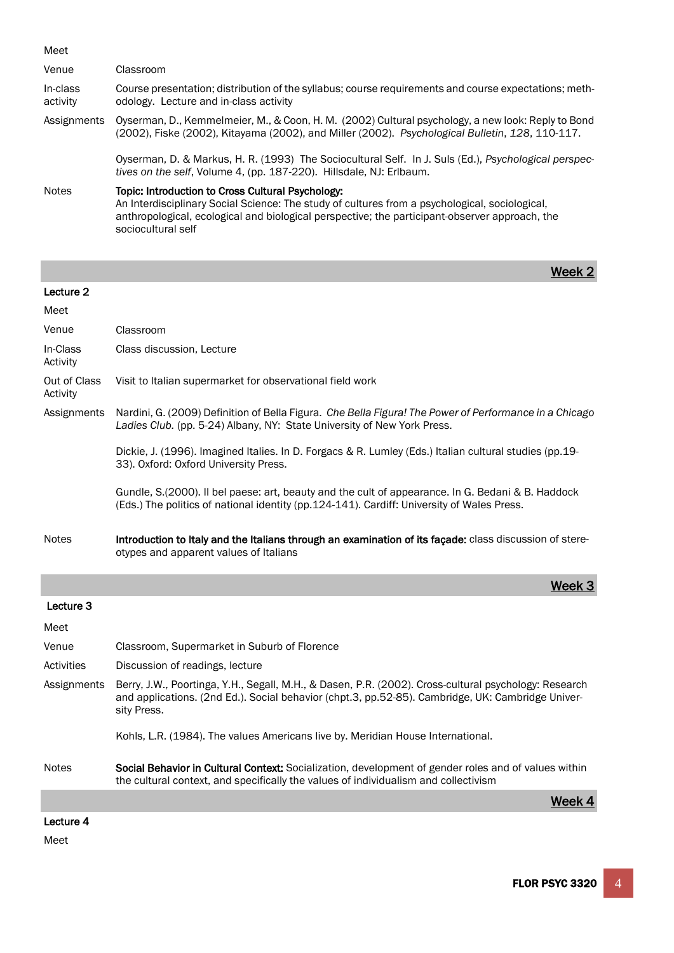| Meet                     |                                                                                                                                                                                                                                                                             |
|--------------------------|-----------------------------------------------------------------------------------------------------------------------------------------------------------------------------------------------------------------------------------------------------------------------------|
| Venue                    | Classroom                                                                                                                                                                                                                                                                   |
| In-class<br>activity     | Course presentation; distribution of the syllabus; course requirements and course expectations; meth-<br>odology. Lecture and in-class activity                                                                                                                             |
| Assignments              | Oyserman, D., Kemmelmeier, M., & Coon, H. M. (2002) Cultural psychology, a new look: Reply to Bond<br>(2002), Fiske (2002), Kitayama (2002), and Miller (2002). Psychological Bulletin, 128, 110-117.                                                                       |
|                          | Oyserman, D. & Markus, H. R. (1993) The Sociocultural Self. In J. Suls (Ed.), Psychological perspec-<br>tives on the self, Volume 4, (pp. 187-220). Hillsdale, NJ: Erlbaum.                                                                                                 |
| <b>Notes</b>             | Topic: Introduction to Cross Cultural Psychology:<br>An Interdisciplinary Social Science: The study of cultures from a psychological, sociological,<br>anthropological, ecological and biological perspective; the participant-observer approach, the<br>sociocultural self |
|                          | Week                                                                                                                                                                                                                                                                        |
| Lecture 2                |                                                                                                                                                                                                                                                                             |
| Meet                     |                                                                                                                                                                                                                                                                             |
| Venue                    | Classroom                                                                                                                                                                                                                                                                   |
| In-Class<br>Activity     | Class discussion, Lecture                                                                                                                                                                                                                                                   |
| Out of Class<br>Activity | Visit to Italian supermarket for observational field work                                                                                                                                                                                                                   |
| Assignments              | Nardini, G. (2009) Definition of Bella Figura. Che Bella Figura! The Power of Performance in a Chicago<br>Ladies Club. (pp. 5-24) Albany, NY: State University of New York Press.                                                                                           |
|                          | Dickie, J. (1996). Imagined Italies. In D. Forgacs & R. Lumley (Eds.) Italian cultural studies (pp.19-<br>33). Oxford: Oxford University Press.                                                                                                                             |
|                          | Gundle, S.(2000). Il bel paese: art, beauty and the cult of appearance. In G. Bedani & B. Haddock<br>(Eds.) The politics of national identity (pp.124-141). Cardiff: University of Wales Press.                                                                             |
| <b>Notes</b>             | Introduction to Italy and the Italians through an examination of its façade: class discussion of stere-<br>otypes and apparent values of Italians                                                                                                                           |
|                          | Week:                                                                                                                                                                                                                                                                       |
| Lecture 3                |                                                                                                                                                                                                                                                                             |
| Meet                     |                                                                                                                                                                                                                                                                             |
| Venue                    | Classroom, Supermarket in Suburb of Florence                                                                                                                                                                                                                                |
| Activities               | Discussion of readings, lecture                                                                                                                                                                                                                                             |
| Assignments              | Berry, J.W., Poortinga, Y.H., Segall, M.H., & Dasen, P.R. (2002). Cross-cultural psychology: Research<br>and applications. (2nd Ed.). Social behavior (chpt.3, pp.52-85). Cambridge, UK: Cambridge Univer-<br>sity Press.                                                   |
|                          | Kohls, L.R. (1984). The values Americans live by. Meridian House International.                                                                                                                                                                                             |
| <b>Notes</b>             | Social Behavior in Cultural Context: Socialization, development of gender roles and of values within<br>the cultural context, and specifically the values of individualism and collectivism                                                                                 |
|                          | Week 4                                                                                                                                                                                                                                                                      |

## Lecture 4

Meet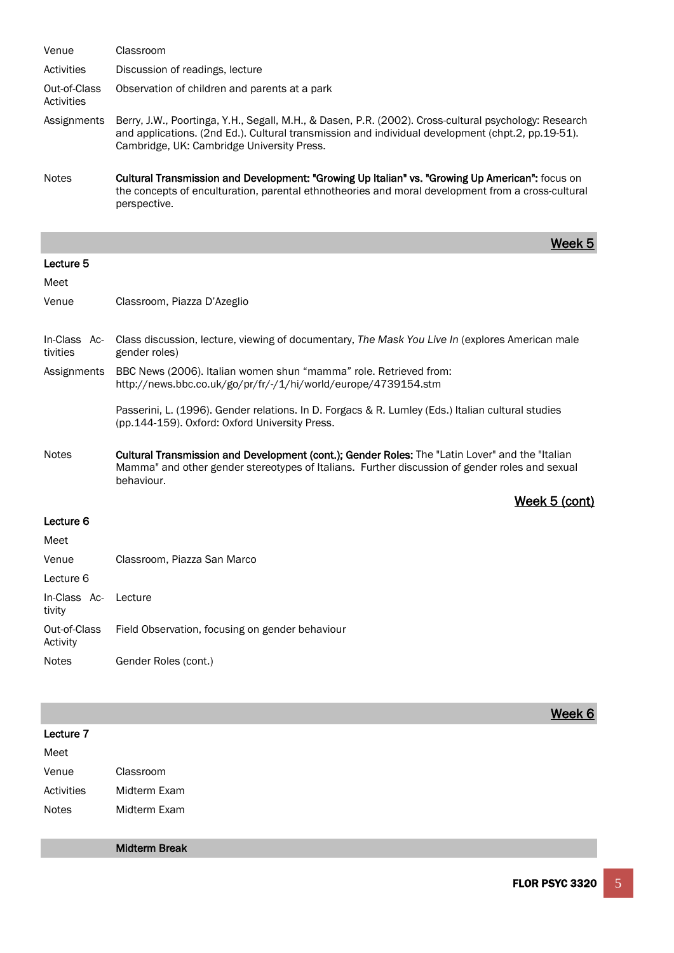| Venue                      | Classroom                                                                                                                                                                                                                                                |
|----------------------------|----------------------------------------------------------------------------------------------------------------------------------------------------------------------------------------------------------------------------------------------------------|
| Activities                 | Discussion of readings, lecture                                                                                                                                                                                                                          |
| Out-of-Class<br>Activities | Observation of children and parents at a park                                                                                                                                                                                                            |
| Assignments                | Berry, J.W., Poortinga, Y.H., Segall, M.H., & Dasen, P.R. (2002). Cross-cultural psychology: Research<br>and applications. (2nd Ed.). Cultural transmission and individual development (chpt.2, pp.19-51).<br>Cambridge, UK: Cambridge University Press. |
| <b>Notes</b>               | Cultural Transmission and Development: "Growing Up Italian" vs. "Growing Up American": focus on<br>the concepts of enculturation, parental ethnotheories and moral development from a cross-cultural<br>perspective.                                     |

#### Lecture 5

#### Meet

Venue Classroom, Piazza D'Azeglio

- In-Class Activities Class discussion, lecture, viewing of documentary, *The Mask You Live In* (explores American male gender roles)
- Assignments BBC News (2006). Italian women shun "mamma" role. Retrieved from: http://news.bbc.co.uk/go/pr/fr/-/1/hi/world/europe/4739154.stm

Passerini, L. (1996). Gender relations. In D. Forgacs & R. Lumley (Eds.) Italian cultural studies (pp.144-159). Oxford: Oxford University Press.

week 5 in 1980 was a strong to the strong state of the strong strong week 5 in 1980 week 5 in 1980 week 5 in 1

Notes **Cultural Transmission and Development (cont.); Gender Roles:** The "Latin Lover" and the "Italian Mamma" and other gender stereotypes of Italians. Further discussion of gender roles and sexual behaviour.

Week 5 (cont)

#### Lecture 6

| Meet                           |                                                 |
|--------------------------------|-------------------------------------------------|
| Venue                          | Classroom, Piazza San Marco                     |
| Lecture 6                      |                                                 |
| In-Class Ac- Lecture<br>tivity |                                                 |
| Out-of-Class<br>Activity       | Field Observation, focusing on gender behaviour |
| <b>Notes</b>                   | Gender Roles (cont.)                            |

|            |                      | Week 6 |
|------------|----------------------|--------|
| Lecture 7  |                      |        |
| Meet       |                      |        |
| Venue      | Classroom            |        |
| Activities | Midterm Exam         |        |
| Notes      | Midterm Exam         |        |
|            |                      |        |
|            | <b>Midterm Break</b> |        |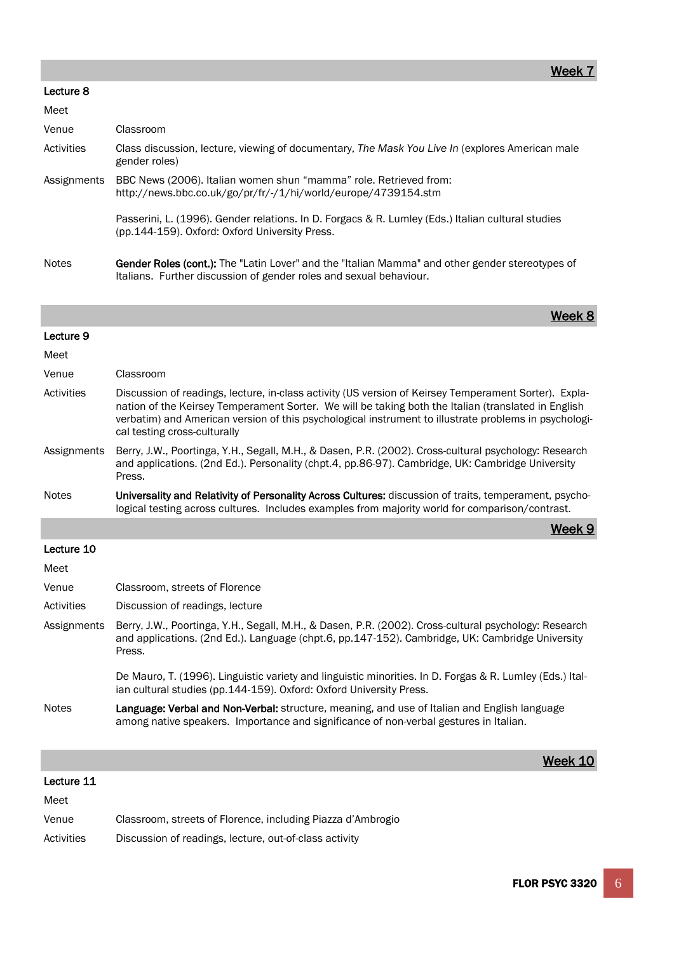#### Lecture 8

| <b>INIGGL</b> |                                                                                                                                                                              |
|---------------|------------------------------------------------------------------------------------------------------------------------------------------------------------------------------|
| Venue         | Classroom                                                                                                                                                                    |
| Activities    | Class discussion, lecture, viewing of documentary, The Mask You Live In (explores American male<br>gender roles)                                                             |
| Assignments   | BBC News (2006). Italian women shun "mamma" role. Retrieved from:<br>http://news.bbc.co.uk/go/pr/fr/-/1/hi/world/europe/4739154.stm                                          |
|               | Passerini, L. (1996). Gender relations. In D. Forgacs & R. Lumley (Eds.) Italian cultural studies<br>(pp.144-159). Oxford: Oxford University Press.                          |
| <b>Notes</b>  | <b>Gender Roles (cont.):</b> The "Latin Lover" and the "Italian Mamma" and other gender stereotypes of<br>Italians. Further discussion of gender roles and sexual behaviour. |

week 8 - Andrew Maria and American American American American American Meek 8 - Andrew Meek 8

| Lecture 9 |  |
|-----------|--|
|           |  |

| Meet         |                                                                                                                                                                                                                                                                                                                                                       |
|--------------|-------------------------------------------------------------------------------------------------------------------------------------------------------------------------------------------------------------------------------------------------------------------------------------------------------------------------------------------------------|
| Venue        | Classroom                                                                                                                                                                                                                                                                                                                                             |
| Activities   | Discussion of readings, lecture, in-class activity (US version of Keirsey Temperament Sorter). Expla-<br>nation of the Keirsey Temperament Sorter. We will be taking both the Italian (translated in English<br>verbatim) and American version of this psychological instrument to illustrate problems in psychologi-<br>cal testing cross-culturally |
| Assignments  | Berry, J.W., Poortinga, Y.H., Segall, M.H., & Dasen, P.R. (2002). Cross-cultural psychology: Research<br>and applications. (2nd Ed.). Personality (chpt.4, pp.86-97). Cambridge, UK: Cambridge University<br>Press.                                                                                                                                   |
| <b>Notes</b> | Universality and Relativity of Personality Across Cultures: discussion of traits, temperament, psycho-<br>logical testing across cultures. Includes examples from majority world for comparison/contrast.                                                                                                                                             |
|              | Week 9                                                                                                                                                                                                                                                                                                                                                |
| Lecture 10   |                                                                                                                                                                                                                                                                                                                                                       |
| Meet         |                                                                                                                                                                                                                                                                                                                                                       |
| Venue        | Classroom, streets of Florence                                                                                                                                                                                                                                                                                                                        |
| Activities   | Discussion of readings, lecture                                                                                                                                                                                                                                                                                                                       |
| Assignments  | Berry, J.W., Poortinga, Y.H., Segall, M.H., & Dasen, P.R. (2002). Cross-cultural psychology: Research<br>and applications. (2nd Ed.). Language (chpt.6, pp.147-152). Cambridge, UK: Cambridge University<br>Press.                                                                                                                                    |

De Mauro, T. (1996). Linguistic variety and linguistic minorities. In D. Forgas & R. Lumley (Eds.) Italian cultural studies (pp.144-159). Oxford: Oxford University Press.

week 10 Meet 10 Meet 10 Meet 10 Meet 10 Meet 10 Meet 10 Meet 10 Meet 10 Meet 10

### Notes **Language: Verbal and Non-Verbal:** structure, meaning, and use of Italian and English language among native speakers. Importance and significance of non-verbal gestures in Italian.

| Lecture 11 |  |
|------------|--|
| Meet       |  |

| Venue | Classroom, streets of Florence, including Piazza d'Ambrogio |
|-------|-------------------------------------------------------------|
|       |                                                             |

Activities Discussion of readings, lecture, out-of-class activity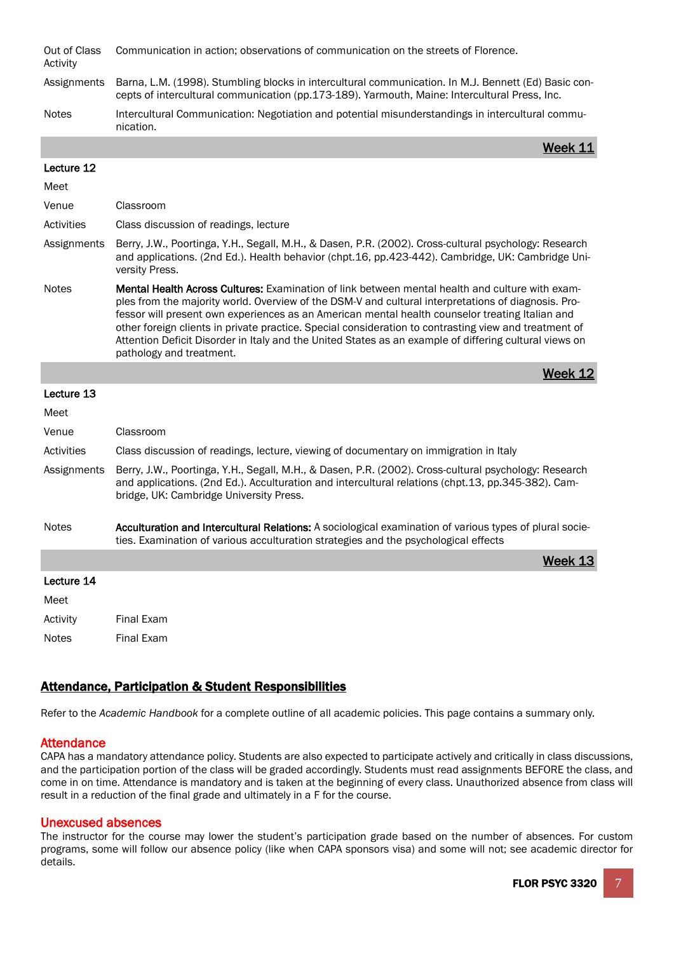Out of Class Activity Communication in action; observations of communication on the streets of Florence.

- Assignments Barna, L.M. (1998). Stumbling blocks in intercultural communication. In M.J. Bennett (Ed) Basic concepts of intercultural communication (pp.173-189). Yarmouth, Maine: Intercultural Press, Inc.
- Notes Intercultural Communication: Negotiation and potential misunderstandings in intercultural communication.

week 11 March 2014 - Andre Stern Andre Stern Andre Stern Andre Stern Andre Stern Andre Stern Andre

#### Lecture 12

| Meet         |                                                                                                                                                                                                                                                                                                                                                                                                                                                                                                                                                                 |
|--------------|-----------------------------------------------------------------------------------------------------------------------------------------------------------------------------------------------------------------------------------------------------------------------------------------------------------------------------------------------------------------------------------------------------------------------------------------------------------------------------------------------------------------------------------------------------------------|
| Venue        | Classroom                                                                                                                                                                                                                                                                                                                                                                                                                                                                                                                                                       |
| Activities   | Class discussion of readings, lecture                                                                                                                                                                                                                                                                                                                                                                                                                                                                                                                           |
| Assignments  | Berry, J.W., Poortinga, Y.H., Segall, M.H., & Dasen, P.R. (2002). Cross-cultural psychology: Research<br>and applications. (2nd Ed.). Health behavior (chpt.16, pp.423-442). Cambridge, UK: Cambridge Uni-<br>versity Press.                                                                                                                                                                                                                                                                                                                                    |
| <b>Notes</b> | <b>Mental Health Across Cultures:</b> Examination of link between mental health and culture with exam-<br>ples from the majority world. Overview of the DSM-V and cultural interpretations of diagnosis. Pro-<br>fessor will present own experiences as an American mental health counselor treating Italian and<br>other foreign clients in private practice. Special consideration to contrasting view and treatment of<br>Attention Deficit Disorder in Italy and the United States as an example of differing cultural views on<br>pathology and treatment. |
|              | Week 12                                                                                                                                                                                                                                                                                                                                                                                                                                                                                                                                                         |
| Lecture 13   |                                                                                                                                                                                                                                                                                                                                                                                                                                                                                                                                                                 |
| Meet         |                                                                                                                                                                                                                                                                                                                                                                                                                                                                                                                                                                 |
| Venue        | Classroom                                                                                                                                                                                                                                                                                                                                                                                                                                                                                                                                                       |
| Activities   | Class discussion of readings, lecture, viewing of documentary on immigration in Italy                                                                                                                                                                                                                                                                                                                                                                                                                                                                           |
| Assignments  | Berry, J.W., Poortinga, Y.H., Segall, M.H., & Dasen, P.R. (2002). Cross-cultural psychology: Research<br>and applications. (2nd Ed.). Acculturation and intercultural relations (chpt.13, pp.345-382). Cam-<br>bridge, UK: Cambridge University Press.                                                                                                                                                                                                                                                                                                          |
| <b>Notes</b> | Acculturation and Intercultural Relations: A sociological examination of various types of plural socie-<br>ties. Examination of various acculturation strategies and the psychological effects                                                                                                                                                                                                                                                                                                                                                                  |
|              | Week 13                                                                                                                                                                                                                                                                                                                                                                                                                                                                                                                                                         |
| Lecture 14   |                                                                                                                                                                                                                                                                                                                                                                                                                                                                                                                                                                 |
| Meet         |                                                                                                                                                                                                                                                                                                                                                                                                                                                                                                                                                                 |
| Activity     | Final Exam                                                                                                                                                                                                                                                                                                                                                                                                                                                                                                                                                      |
| <b>Notes</b> | <b>Final Exam</b>                                                                                                                                                                                                                                                                                                                                                                                                                                                                                                                                               |

## Attendance, Participation & Student Responsibilities

Refer to the *Academic Handbook* for a complete outline of all academic policies. This page contains a summary only.

## **Attendance**

CAPA has a mandatory attendance policy. Students are also expected to participate actively and critically in class discussions, and the participation portion of the class will be graded accordingly. Students must read assignments BEFORE the class, and come in on time. Attendance is mandatory and is taken at the beginning of every class. Unauthorized absence from class will result in a reduction of the final grade and ultimately in a F for the course.

## Unexcused absences

The instructor for the course may lower the student's participation grade based on the number of absences. For custom programs, some will follow our absence policy (like when CAPA sponsors visa) and some will not; see academic director for details.